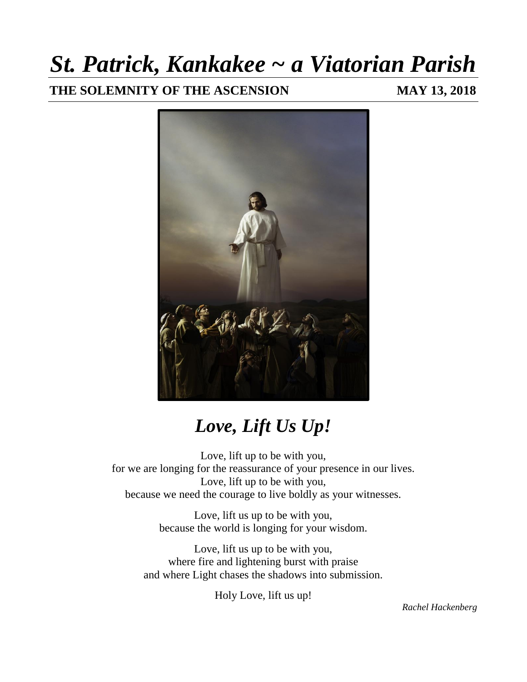## *St. Patrick, Kankakee ~ a Viatorian Parish*

**THE SOLEMNITY OF THE ASCENSION MAY 13, 2018**



## *Love, Lift Us Up!*

Love, lift up to be with you, for we are longing for the reassurance of your presence in our lives. Love, lift up to be with you, because we need the courage to live boldly as your witnesses.

> Love, lift us up to be with you, because the world is longing for your wisdom.

Love, lift us up to be with you, where fire and lightening burst with praise and where Light chases the shadows into submission.

Holy Love, lift us up!

*Rachel Hackenberg*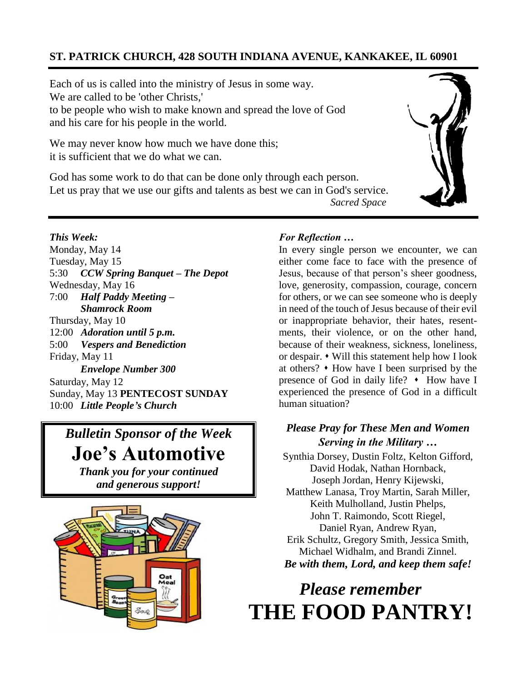### **ST. PATRICK CHURCH, 428 SOUTH INDIANA AVENUE, KANKAKEE, IL 60901**

Each of us is called into the ministry of Jesus in some way. We are called to be 'other Christs,' to be people who wish to make known and spread the love of God and his care for his people in the world.

We may never know how much we have done this; it is sufficient that we do what we can.

God has some work to do that can be done only through each person. Let us pray that we use our gifts and talents as best we can in God's service.  *Sacred Space*

#### *This Week:*

Monday, May 14 Tuesday, May 15 5:30 *CCW Spring Banquet – The Depot* Wednesday, May 16 7:00 *Half Paddy Meeting – Shamrock Room* Thursday, May 10 12:00 *Adoration until 5 p.m.* 5:00 *Vespers and Benediction* Friday, May 11  *Envelope Number 300* Saturday, May 12 Sunday, May 13 **PENTECOST SUNDAY** 10:00 *Little People's Church*

### *Bulletin Sponsor of the Week*

**Joe's Automotive**

*Thank you for your continued and generous support!*



#### *For Reflection …*

In every single person we encounter, we can either come face to face with the presence of Jesus, because of that person's sheer goodness, love, generosity, compassion, courage, concern for others, or we can see someone who is deeply in need of the touch of Jesus because of their evil or inappropriate behavior, their hates, resentments, their violence, or on the other hand, because of their weakness, sickness, loneliness, or despair. ⬧ Will this statement help how I look at others?  $\cdot$  How have I been surprised by the presence of God in daily life?  $\cdot$  How have I experienced the presence of God in a difficult human situation?

### *Please Pray for These Men and Women Serving in the Military …*

Synthia Dorsey, Dustin Foltz, Kelton Gifford, David Hodak, Nathan Hornback, Joseph Jordan, Henry Kijewski, Matthew Lanasa, Troy Martin, Sarah Miller, Keith Mulholland, Justin Phelps, John T. Raimondo, Scott Riegel, Daniel Ryan, Andrew Ryan, Erik Schultz, Gregory Smith, Jessica Smith, Michael Widhalm, and Brandi Zinnel. *Be with them, Lord, and keep them safe!*

### *Please remember*  **THE FOOD PANTRY!**

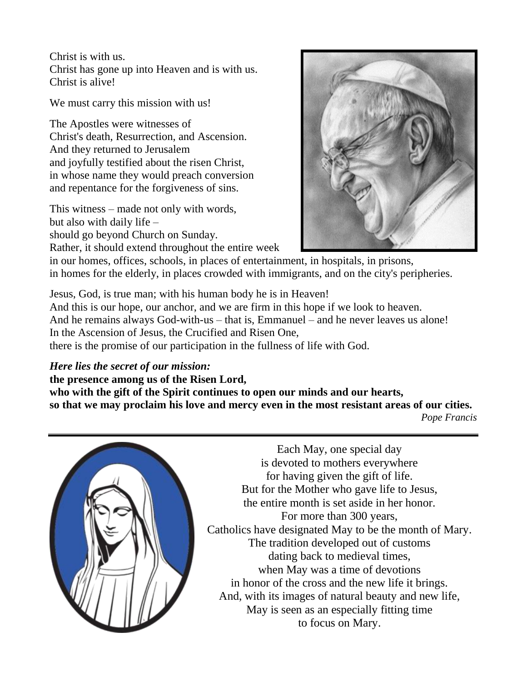Christ is with us. Christ has gone up into Heaven and is with us. Christ is alive!

We must carry this mission with us!

The Apostles were witnesses of Christ's death, Resurrection, and Ascension. And they returned to Jerusalem and joyfully testified about the risen Christ, in whose name they would preach conversion and repentance for the forgiveness of sins.

This witness – made not only with words, but also with daily life – should go beyond Church on Sunday.

Rather, it should extend throughout the entire week



in our homes, offices, schools, in places of entertainment, in hospitals, in prisons, in homes for the elderly, in places crowded with immigrants, and on the city's peripheries.

Jesus, God, is true man; with his human body he is in Heaven! And this is our hope, our anchor, and we are firm in this hope if we look to heaven. And he remains always God-with-us – that is, Emmanuel – and he never leaves us alone! In the Ascension of Jesus, the Crucified and Risen One, there is the promise of our participation in the fullness of life with God.

*Here lies the secret of our mission:*

**the presence among us of the Risen Lord,**

**who with the gift of the Spirit continues to open our minds and our hearts, so that we may proclaim his love and mercy even in the most resistant areas of our cities.**  *Pope Francis*



Each May, one special day is devoted to mothers everywhere for having given the gift of life. But for the Mother who gave life to Jesus, the entire month is set aside in her honor. For more than 300 years, Catholics have designated May to be the month of Mary. The tradition developed out of customs dating back to medieval times, when May was a time of devotions in honor of the cross and the new life it brings. And, with its images of natural beauty and new life, May is seen as an especially fitting time to focus on Mary.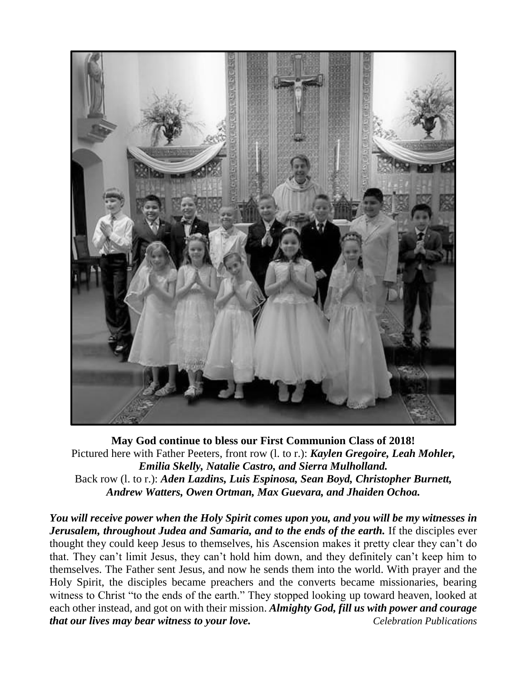

**May God continue to bless our First Communion Class of 2018!** Pictured here with Father Peeters, front row (l. to r.): *Kaylen Gregoire, Leah Mohler, Emilia Skelly, Natalie Castro, and Sierra Mulholland.* Back row (l. to r.): *Aden Lazdins, Luis Espinosa, Sean Boyd, Christopher Burnett, Andrew Watters, Owen Ortman, Max Guevara, and Jhaiden Ochoa.*

*You will receive power when the Holy Spirit comes upon you, and you will be my witnesses in Jerusalem, throughout Judea and Samaria, and to the ends of the earth.* If the disciples ever thought they could keep Jesus to themselves, his Ascension makes it pretty clear they can't do that. They can't limit Jesus, they can't hold him down, and they definitely can't keep him to themselves. The Father sent Jesus, and now he sends them into the world. With prayer and the Holy Spirit, the disciples became preachers and the converts became missionaries, bearing witness to Christ "to the ends of the earth." They stopped looking up toward heaven, looked at each other instead, and got on with their mission. *Almighty God, fill us with power and courage that our lives may bear witness to your love. Celebration Publications*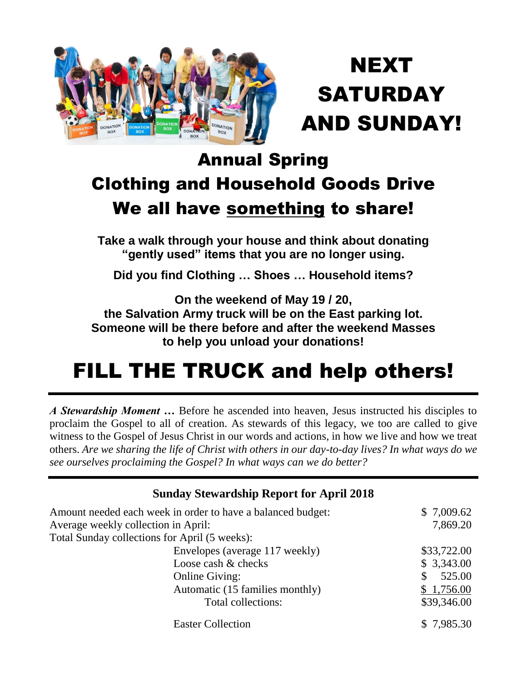

## NEXT **SATURDAY** AND SUNDAY!

## Annual Spring Clothing and Household Goods Drive We all have something to share!

**Take a walk through your house and think about donating "gently used" items that you are no longer using.**

**Did you find Clothing … Shoes … Household items?**

**On the weekend of May 19 / 20,** 

**the Salvation Army truck will be on the East parking lot. Someone will be there before and after the weekend Masses to help you unload your donations!**

## FILL THE TRUCK and help others!

*A Stewardship Moment …* Before he ascended into heaven, Jesus instructed his disciples to proclaim the Gospel to all of creation. As stewards of this legacy, we too are called to give witness to the Gospel of Jesus Christ in our words and actions, in how we live and how we treat others. *Are we sharing the life of Christ with others in our day-to-day lives? In what ways do we see ourselves proclaiming the Gospel? In what ways can we do better?*

| <b>Sunday Stewardship Report for April 2018</b>             |                        |  |  |  |
|-------------------------------------------------------------|------------------------|--|--|--|
| Amount needed each week in order to have a balanced budget: | \$7,009.62             |  |  |  |
| Average weekly collection in April:                         | 7,869.20               |  |  |  |
| Total Sunday collections for April (5 weeks):               |                        |  |  |  |
| Envelopes (average 117 weekly)                              | \$33,722.00            |  |  |  |
| Loose cash & checks                                         | \$3,343.00             |  |  |  |
| <b>Online Giving:</b>                                       | $\mathbb{S}$<br>525.00 |  |  |  |
| Automatic (15 families monthly)                             | \$1,756.00             |  |  |  |
| Total collections:                                          | \$39,346.00            |  |  |  |
| <b>Easter Collection</b>                                    | \$7,985.30             |  |  |  |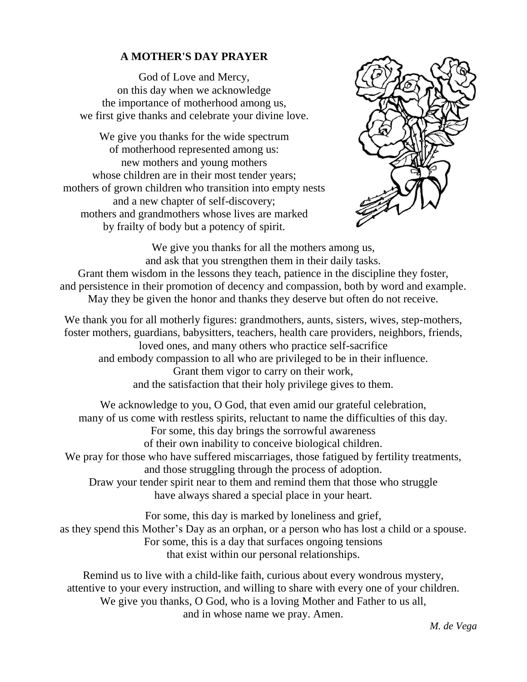### **A MOTHER'S DAY PRAYER**

God of Love and Mercy, on this day when we acknowledge the importance of motherhood among us, we first give thanks and celebrate your divine love.

We give you thanks for the wide spectrum of motherhood represented among us: new mothers and young mothers whose children are in their most tender years; mothers of grown children who transition into empty nests and a new chapter of self-discovery; mothers and grandmothers whose lives are marked by frailty of body but a potency of spirit.



We give you thanks for all the mothers among us, and ask that you strengthen them in their daily tasks. Grant them wisdom in the lessons they teach, patience in the discipline they foster, and persistence in their promotion of decency and compassion, both by word and example. May they be given the honor and thanks they deserve but often do not receive.

We thank you for all motherly figures: grandmothers, aunts, sisters, wives, step-mothers, foster mothers, guardians, babysitters, teachers, health care providers, neighbors, friends, loved ones, and many others who practice self-sacrifice and embody compassion to all who are privileged to be in their influence. Grant them vigor to carry on their work, and the satisfaction that their holy privilege gives to them.

We acknowledge to you, O God, that even amid our grateful celebration, many of us come with restless spirits, reluctant to name the difficulties of this day. For some, this day brings the sorrowful awareness of their own inability to conceive biological children. We pray for those who have suffered miscarriages, those fatigued by fertility treatments, and those struggling through the process of adoption. Draw your tender spirit near to them and remind them that those who struggle have always shared a special place in your heart.

For some, this day is marked by loneliness and grief, as they spend this Mother's Day as an orphan, or a person who has lost a child or a spouse. For some, this is a day that surfaces ongoing tensions that exist within our personal relationships.

Remind us to live with a child-like faith, curious about every wondrous mystery, attentive to your every instruction, and willing to share with every one of your children. We give you thanks, O God, who is a loving Mother and Father to us all, and in whose name we pray. Amen.